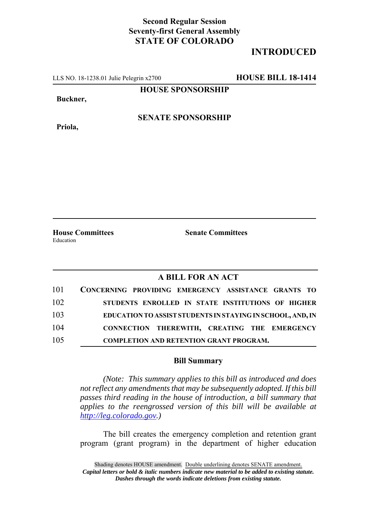## **Second Regular Session Seventy-first General Assembly STATE OF COLORADO**

## **INTRODUCED**

LLS NO. 18-1238.01 Julie Pelegrin x2700 **HOUSE BILL 18-1414**

**HOUSE SPONSORSHIP**

**Buckner,**

**Priola,**

**SENATE SPONSORSHIP**

Education

**House Committees Senate Committees**

## **A BILL FOR AN ACT**

| 101 | CONCERNING PROVIDING EMERGENCY ASSISTANCE GRANTS TO        |
|-----|------------------------------------------------------------|
| 102 | STUDENTS ENROLLED IN STATE INSTITUTIONS OF HIGHER          |
| 103 | EDUCATION TO ASSIST STUDENTS IN STAYING IN SCHOOL, AND, IN |
| 104 | CONNECTION THEREWITH, CREATING THE EMERGENCY               |
| 105 | <b>COMPLETION AND RETENTION GRANT PROGRAM.</b>             |

## **Bill Summary**

*(Note: This summary applies to this bill as introduced and does not reflect any amendments that may be subsequently adopted. If this bill passes third reading in the house of introduction, a bill summary that applies to the reengrossed version of this bill will be available at http://leg.colorado.gov.)*

The bill creates the emergency completion and retention grant program (grant program) in the department of higher education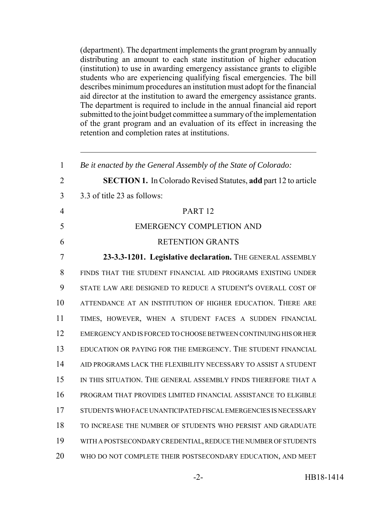(department). The department implements the grant program by annually distributing an amount to each state institution of higher education (institution) to use in awarding emergency assistance grants to eligible students who are experiencing qualifying fiscal emergencies. The bill describes minimum procedures an institution must adopt for the financial aid director at the institution to award the emergency assistance grants. The department is required to include in the annual financial aid report submitted to the joint budget committee a summary of the implementation of the grant program and an evaluation of its effect in increasing the retention and completion rates at institutions.

 *Be it enacted by the General Assembly of the State of Colorado:* **SECTION 1.** In Colorado Revised Statutes, **add** part 12 to article 3.3 of title 23 as follows: PART 12 EMERGENCY COMPLETION AND RETENTION GRANTS **23-3.3-1201. Legislative declaration.** THE GENERAL ASSEMBLY FINDS THAT THE STUDENT FINANCIAL AID PROGRAMS EXISTING UNDER STATE LAW ARE DESIGNED TO REDUCE A STUDENT'S OVERALL COST OF ATTENDANCE AT AN INSTITUTION OF HIGHER EDUCATION. THERE ARE TIMES, HOWEVER, WHEN A STUDENT FACES A SUDDEN FINANCIAL EMERGENCY AND IS FORCED TO CHOOSE BETWEEN CONTINUING HIS OR HER EDUCATION OR PAYING FOR THE EMERGENCY. THE STUDENT FINANCIAL AID PROGRAMS LACK THE FLEXIBILITY NECESSARY TO ASSIST A STUDENT IN THIS SITUATION. THE GENERAL ASSEMBLY FINDS THEREFORE THAT A PROGRAM THAT PROVIDES LIMITED FINANCIAL ASSISTANCE TO ELIGIBLE STUDENTS WHO FACE UNANTICIPATED FISCAL EMERGENCIES IS NECESSARY TO INCREASE THE NUMBER OF STUDENTS WHO PERSIST AND GRADUATE WITH A POSTSECONDARY CREDENTIAL, REDUCE THE NUMBER OF STUDENTS WHO DO NOT COMPLETE THEIR POSTSECONDARY EDUCATION, AND MEET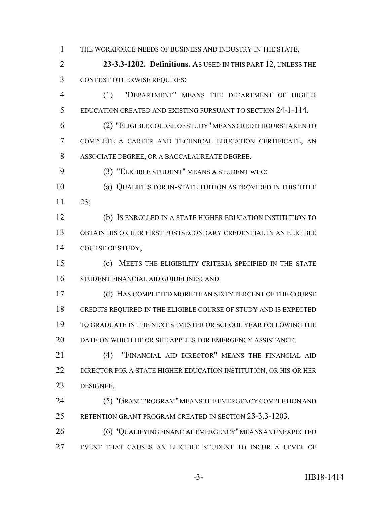THE WORKFORCE NEEDS OF BUSINESS AND INDUSTRY IN THE STATE.

 **23-3.3-1202. Definitions.** AS USED IN THIS PART 12, UNLESS THE CONTEXT OTHERWISE REQUIRES:

 (1) "DEPARTMENT" MEANS THE DEPARTMENT OF HIGHER EDUCATION CREATED AND EXISTING PURSUANT TO SECTION 24-1-114.

 (2) "ELIGIBLE COURSE OF STUDY" MEANS CREDIT HOURS TAKEN TO COMPLETE A CAREER AND TECHNICAL EDUCATION CERTIFICATE, AN ASSOCIATE DEGREE, OR A BACCALAUREATE DEGREE.

(3) "ELIGIBLE STUDENT" MEANS A STUDENT WHO:

 (a) QUALIFIES FOR IN-STATE TUITION AS PROVIDED IN THIS TITLE 23;

 (b) IS ENROLLED IN A STATE HIGHER EDUCATION INSTITUTION TO OBTAIN HIS OR HER FIRST POSTSECONDARY CREDENTIAL IN AN ELIGIBLE 14 COURSE OF STUDY;

 (c) MEETS THE ELIGIBILITY CRITERIA SPECIFIED IN THE STATE STUDENT FINANCIAL AID GUIDELINES; AND

 (d) HAS COMPLETED MORE THAN SIXTY PERCENT OF THE COURSE CREDITS REQUIRED IN THE ELIGIBLE COURSE OF STUDY AND IS EXPECTED TO GRADUATE IN THE NEXT SEMESTER OR SCHOOL YEAR FOLLOWING THE DATE ON WHICH HE OR SHE APPLIES FOR EMERGENCY ASSISTANCE.

21 (4) "FINANCIAL AID DIRECTOR" MEANS THE FINANCIAL AID DIRECTOR FOR A STATE HIGHER EDUCATION INSTITUTION, OR HIS OR HER DESIGNEE.

 (5) "GRANT PROGRAM" MEANS THE EMERGENCY COMPLETION AND RETENTION GRANT PROGRAM CREATED IN SECTION 23-3.3-1203.

 (6) "QUALIFYING FINANCIAL EMERGENCY" MEANS AN UNEXPECTED EVENT THAT CAUSES AN ELIGIBLE STUDENT TO INCUR A LEVEL OF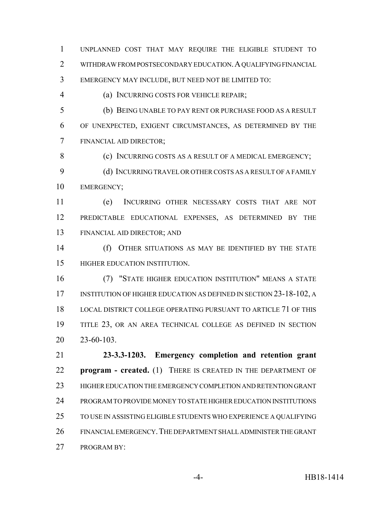UNPLANNED COST THAT MAY REQUIRE THE ELIGIBLE STUDENT TO WITHDRAW FROM POSTSECONDARY EDUCATION.A QUALIFYING FINANCIAL EMERGENCY MAY INCLUDE, BUT NEED NOT BE LIMITED TO:

(a) INCURRING COSTS FOR VEHICLE REPAIR;

 (b) BEING UNABLE TO PAY RENT OR PURCHASE FOOD AS A RESULT OF UNEXPECTED, EXIGENT CIRCUMSTANCES, AS DETERMINED BY THE FINANCIAL AID DIRECTOR;

8 (c) INCURRING COSTS AS A RESULT OF A MEDICAL EMERGENCY;

 (d) INCURRING TRAVEL OR OTHER COSTS AS A RESULT OF A FAMILY EMERGENCY;

 (e) INCURRING OTHER NECESSARY COSTS THAT ARE NOT PREDICTABLE EDUCATIONAL EXPENSES, AS DETERMINED BY THE FINANCIAL AID DIRECTOR; AND

 (f) OTHER SITUATIONS AS MAY BE IDENTIFIED BY THE STATE HIGHER EDUCATION INSTITUTION.

 (7) "STATE HIGHER EDUCATION INSTITUTION" MEANS A STATE 17 INSTITUTION OF HIGHER EDUCATION AS DEFINED IN SECTION 23-18-102, A LOCAL DISTRICT COLLEGE OPERATING PURSUANT TO ARTICLE 71 OF THIS TITLE 23, OR AN AREA TECHNICAL COLLEGE AS DEFINED IN SECTION 23-60-103.

 **23-3.3-1203. Emergency completion and retention grant program - created.** (1) THERE IS CREATED IN THE DEPARTMENT OF HIGHER EDUCATION THE EMERGENCY COMPLETION AND RETENTION GRANT PROGRAM TO PROVIDE MONEY TO STATE HIGHER EDUCATION INSTITUTIONS TO USE IN ASSISTING ELIGIBLE STUDENTS WHO EXPERIENCE A QUALIFYING FINANCIAL EMERGENCY.THE DEPARTMENT SHALL ADMINISTER THE GRANT PROGRAM BY: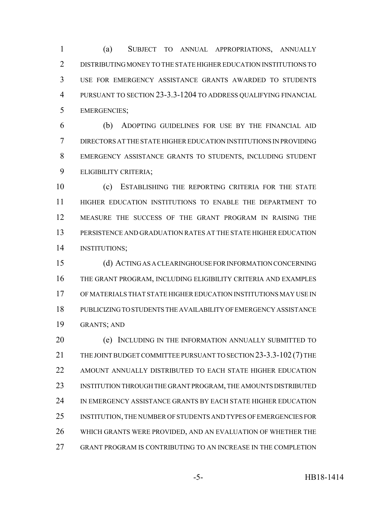(a) SUBJECT TO ANNUAL APPROPRIATIONS, ANNUALLY DISTRIBUTING MONEY TO THE STATE HIGHER EDUCATION INSTITUTIONS TO USE FOR EMERGENCY ASSISTANCE GRANTS AWARDED TO STUDENTS PURSUANT TO SECTION 23-3.3-1204 TO ADDRESS QUALIFYING FINANCIAL EMERGENCIES;

 (b) ADOPTING GUIDELINES FOR USE BY THE FINANCIAL AID DIRECTORS AT THE STATE HIGHER EDUCATION INSTITUTIONS IN PROVIDING EMERGENCY ASSISTANCE GRANTS TO STUDENTS, INCLUDING STUDENT ELIGIBILITY CRITERIA;

 (c) ESTABLISHING THE REPORTING CRITERIA FOR THE STATE HIGHER EDUCATION INSTITUTIONS TO ENABLE THE DEPARTMENT TO MEASURE THE SUCCESS OF THE GRANT PROGRAM IN RAISING THE PERSISTENCE AND GRADUATION RATES AT THE STATE HIGHER EDUCATION INSTITUTIONS;

 (d) ACTING AS A CLEARINGHOUSE FOR INFORMATION CONCERNING THE GRANT PROGRAM, INCLUDING ELIGIBILITY CRITERIA AND EXAMPLES OF MATERIALS THAT STATE HIGHER EDUCATION INSTITUTIONS MAY USE IN PUBLICIZING TO STUDENTS THE AVAILABILITY OF EMERGENCY ASSISTANCE GRANTS; AND

 (e) INCLUDING IN THE INFORMATION ANNUALLY SUBMITTED TO THE JOINT BUDGET COMMITTEE PURSUANT TO SECTION 23-3.3-102 (7) THE AMOUNT ANNUALLY DISTRIBUTED TO EACH STATE HIGHER EDUCATION INSTITUTION THROUGH THE GRANT PROGRAM, THE AMOUNTS DISTRIBUTED IN EMERGENCY ASSISTANCE GRANTS BY EACH STATE HIGHER EDUCATION INSTITUTION, THE NUMBER OF STUDENTS AND TYPES OF EMERGENCIES FOR WHICH GRANTS WERE PROVIDED, AND AN EVALUATION OF WHETHER THE GRANT PROGRAM IS CONTRIBUTING TO AN INCREASE IN THE COMPLETION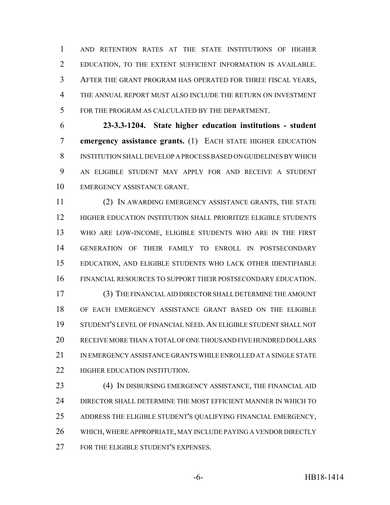AND RETENTION RATES AT THE STATE INSTITUTIONS OF HIGHER EDUCATION, TO THE EXTENT SUFFICIENT INFORMATION IS AVAILABLE. AFTER THE GRANT PROGRAM HAS OPERATED FOR THREE FISCAL YEARS, THE ANNUAL REPORT MUST ALSO INCLUDE THE RETURN ON INVESTMENT FOR THE PROGRAM AS CALCULATED BY THE DEPARTMENT.

 **23-3.3-1204. State higher education institutions - student emergency assistance grants.** (1) EACH STATE HIGHER EDUCATION INSTITUTION SHALL DEVELOP A PROCESS BASED ON GUIDELINES BY WHICH AN ELIGIBLE STUDENT MAY APPLY FOR AND RECEIVE A STUDENT EMERGENCY ASSISTANCE GRANT.

 (2) IN AWARDING EMERGENCY ASSISTANCE GRANTS, THE STATE HIGHER EDUCATION INSTITUTION SHALL PRIORITIZE ELIGIBLE STUDENTS WHO ARE LOW-INCOME, ELIGIBLE STUDENTS WHO ARE IN THE FIRST GENERATION OF THEIR FAMILY TO ENROLL IN POSTSECONDARY EDUCATION, AND ELIGIBLE STUDENTS WHO LACK OTHER IDENTIFIABLE FINANCIAL RESOURCES TO SUPPORT THEIR POSTSECONDARY EDUCATION.

 (3) THE FINANCIAL AID DIRECTOR SHALL DETERMINE THE AMOUNT OF EACH EMERGENCY ASSISTANCE GRANT BASED ON THE ELIGIBLE STUDENT'S LEVEL OF FINANCIAL NEED. AN ELIGIBLE STUDENT SHALL NOT RECEIVE MORE THAN A TOTAL OF ONE THOUSAND FIVE HUNDRED DOLLARS IN EMERGENCY ASSISTANCE GRANTS WHILE ENROLLED AT A SINGLE STATE **HIGHER EDUCATION INSTITUTION.** 

 (4) IN DISBURSING EMERGENCY ASSISTANCE, THE FINANCIAL AID DIRECTOR SHALL DETERMINE THE MOST EFFICIENT MANNER IN WHICH TO ADDRESS THE ELIGIBLE STUDENT'S QUALIFYING FINANCIAL EMERGENCY, WHICH, WHERE APPROPRIATE, MAY INCLUDE PAYING A VENDOR DIRECTLY 27 FOR THE ELIGIBLE STUDENT'S EXPENSES.